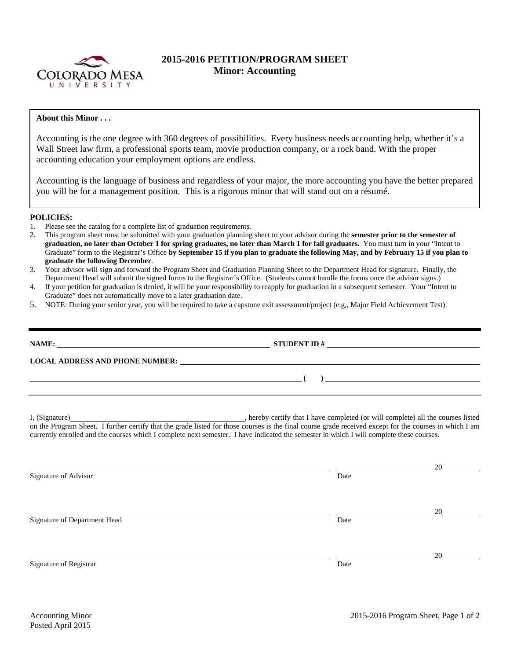

## **2015-2016 PETITION/PROGRAM SHEET Minor: Accounting**

## **About this Minor . . .**

Accounting is the one degree with 360 degrees of possibilities. Every business needs accounting help, whether it's a Wall Street law firm, a professional sports team, movie production company, or a rock band. With the proper accounting education your employment options are endless.

Accounting is the language of business and regardless of your major, the more accounting you have the better prepared you will be for a management position. This is a rigorous minor that will stand out on a résumé.

## **POLICIES:**

- 1. Please see the catalog for a complete list of graduation requirements.
- 2. This program sheet must be submitted with your graduation planning sheet to your advisor during the **semester prior to the semester of graduation, no later than October 1 for spring graduates, no later than March 1 for fall graduates.** You must turn in your "Intent to Graduate" form to the Registrar's Office **by September 15 if you plan to graduate the following May, and by February 15 if you plan to graduate the following December**.
- 3. Your advisor will sign and forward the Program Sheet and Graduation Planning Sheet to the Department Head for signature. Finally, the Department Head will submit the signed forms to the Registrar's Office. (Students cannot handle the forms once the advisor signs.)
- 4. If your petition for graduation is denied, it will be your responsibility to reapply for graduation in a subsequent semester. Your "Intent to Graduate" does not automatically move to a later graduation date.
- 5. NOTE: During your senior year, you will be required to take a capstone exit assessment/project (e.g,, Major Field Achievement Test).

|                              | NAME: $\_\_\_\_\_\_\_\_\_$                                                                                                                                                                                                                                                                          |    |  |  |  |  |
|------------------------------|-----------------------------------------------------------------------------------------------------------------------------------------------------------------------------------------------------------------------------------------------------------------------------------------------------|----|--|--|--|--|
|                              | LOCAL ADDRESS AND PHONE NUMBER: University of the contract of the contract of the contract of the contract of the contract of the contract of the contract of the contract of the contract of the contract of the contract of                                                                       |    |  |  |  |  |
|                              | $\overline{a}$ (b) and the contract of $\overline{a}$ (b) and the contract of $\overline{a}$ (b) and the contract of $\overline{a}$                                                                                                                                                                 |    |  |  |  |  |
|                              | on the Program Sheet. I further certify that the grade listed for those courses is the final course grade received except for the courses in which I am<br>currently enrolled and the courses which I complete next semester. I have indicated the semester in which I will complete these courses. |    |  |  |  |  |
| Signature of Advisor         | Date                                                                                                                                                                                                                                                                                                | 20 |  |  |  |  |
| Signature of Department Head | Date                                                                                                                                                                                                                                                                                                | 20 |  |  |  |  |
| Signature of Registrar       | Date                                                                                                                                                                                                                                                                                                | 20 |  |  |  |  |